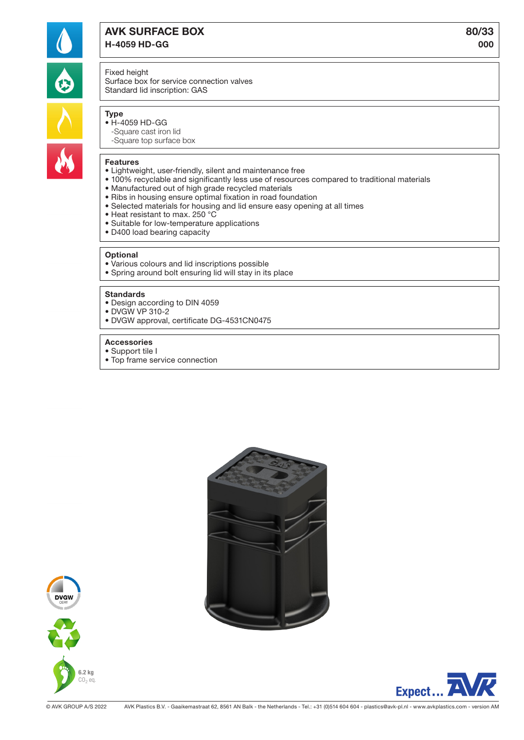

# AVK SURFACE BOX 80/33 H-4059 HD-GG 000

### Fixed height

Surface box for service connection valves Standard lid inscription: GAS

# **Type**

- H-4059 HD-GG -Square cast iron lid
	- -Square top surface box

## Features

- Lightweight, user-friendly, silent and maintenance free
- 100% recyclable and significantly less use of resources compared to traditional materials
- Manufactured out of high grade recycled materials
- Ribs in housing ensure optimal fixation in road foundation
- Selected materials for housing and lid ensure easy opening at all times
- Heat resistant to max. 250 °C
- Suitable for low-temperature applications
- D400 load bearing capacity

#### **Optional**

- Various colours and lid inscriptions possible
- Spring around bolt ensuring lid will stay in its place

#### **Standards**

- Design according to DIN 4059
- DVGW VP 310-2
- DVGW approval, certificate DG-4531CN0475

#### Accessories

- Support tile I
- Top frame service connection